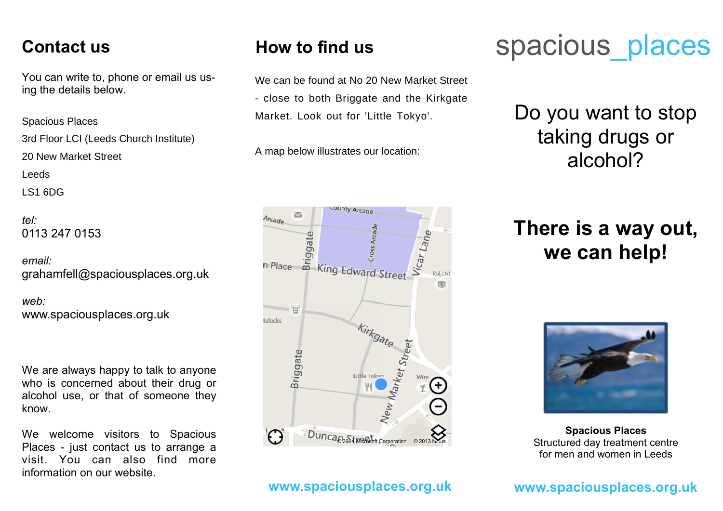#### **Contact us**

You can write to, phone or email us using the details below.

*address:* Spacious Places

3rd Floor LCI (Leeds Church Institute)

20 New Market Street 6 St Mark's Avenue

Leeds

LS1 6DG

*tel:* 0113 247 0153

*email:* grahamfell@spaciousplaces.org.uk

*web:* www.spaciousplaces.org.uk

We are always happy to talk to anyone who is concerned about their drug or alcohol use, or that of someone they know.

We welcome visitors to Spacious Places - just contact us to arrange a visit. You can also find more information on our website.

### **How to find us**

Space Course is located on State is located on State is located on State is located on State is located on State in State in State in State in State in State in State in State in State in State in State in State in State i - close to both Briggate and the Kirkgate We can be found at No 20 New Market Street

Market. Look out for 'Little Tokyo'.

A man helowilly otrotee, aur legation, A map below illustrates our location:



#### **www.spaciousplaces.org.uk**

# spacious places

## Do you want to stop taking drugs or alcohol?

## **There is a way out, we can help!**



**Spacious Places** Structured day treatment centre for men and women in Leeds

#### **www.spaciousplaces.org.uk**